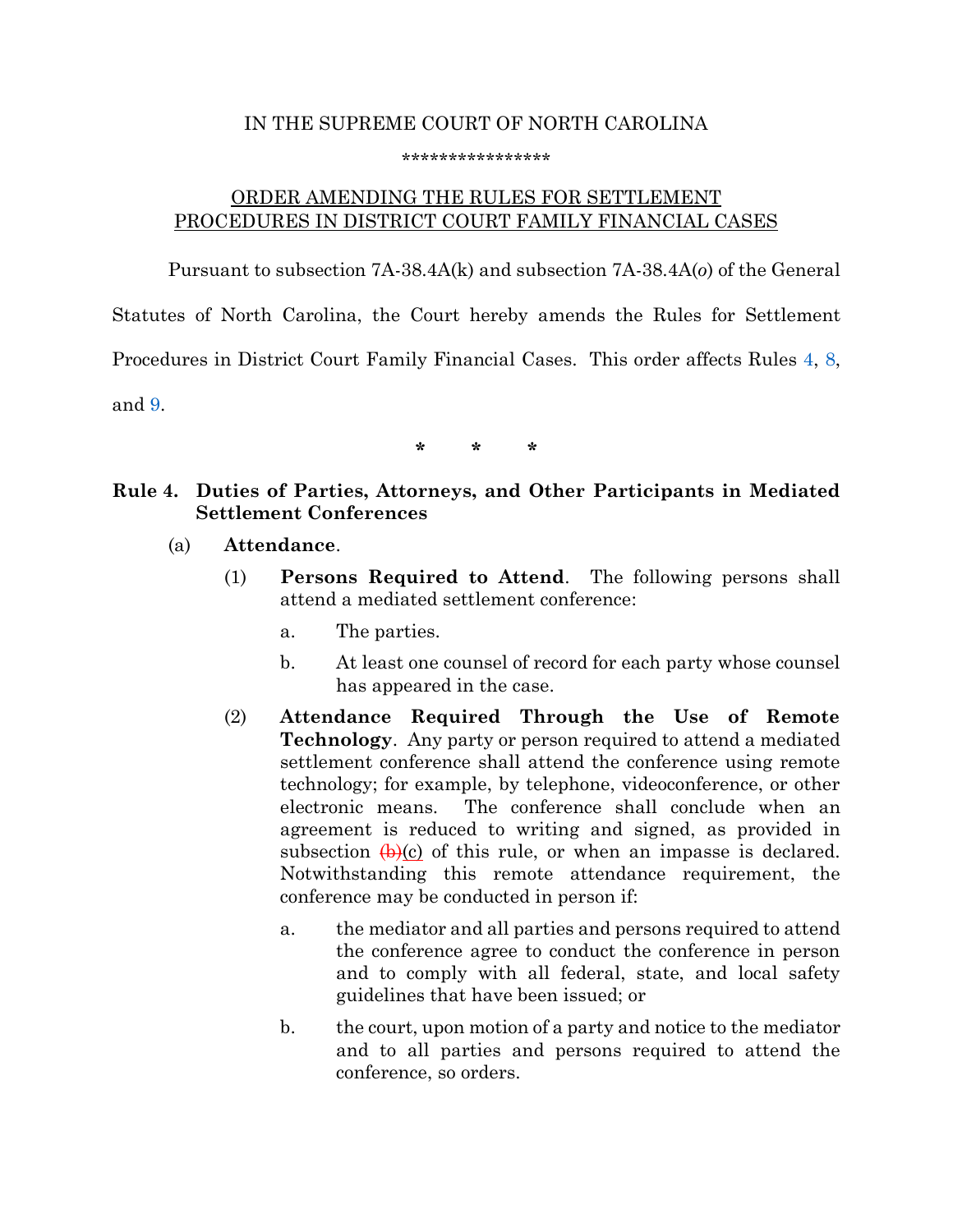# IN THE SUPREME COURT OF NORTH CAROLINA

#### \*\*\*\*\*\*\*\*\*\*\*\*\*\*\*\*

## ORDER AMENDING THE RULES FOR SETTLEMENT PROCEDURES IN DISTRICT COURT FAMILY FINANCIAL CASES

Pursuant to subsection 7A-38.4A(k) and subsection 7A-38.4A(*o*) of the General Statutes of North Carolina, the Court hereby amends the Rules for Settlement Procedures in District Court Family Financial Cases. This order affects Rules [4,](#page-0-0) [8,](#page-3-0) and [9.](#page-9-0)

**\* \* \***

### <span id="page-0-0"></span>**Rule 4. Duties of Parties, Attorneys, and Other Participants in Mediated Settlement Conferences**

- (a) **Attendance**.
	- (1) **Persons Required to Attend**. The following persons shall attend a mediated settlement conference:
		- a. The parties.
		- b. At least one counsel of record for each party whose counsel has appeared in the case.
	- (2) **Attendance Required Through the Use of Remote Technology**. Any party or person required to attend a mediated settlement conference shall attend the conference using remote technology; for example, by telephone, videoconference, or other electronic means. The conference shall conclude when an agreement is reduced to writing and signed, as provided in subsection  $\left(\frac{h}{c}\right)$  of this rule, or when an impasse is declared. Notwithstanding this remote attendance requirement, the conference may be conducted in person if:
		- a. the mediator and all parties and persons required to attend the conference agree to conduct the conference in person and to comply with all federal, state, and local safety guidelines that have been issued; or
		- b. the court, upon motion of a party and notice to the mediator and to all parties and persons required to attend the conference, so orders.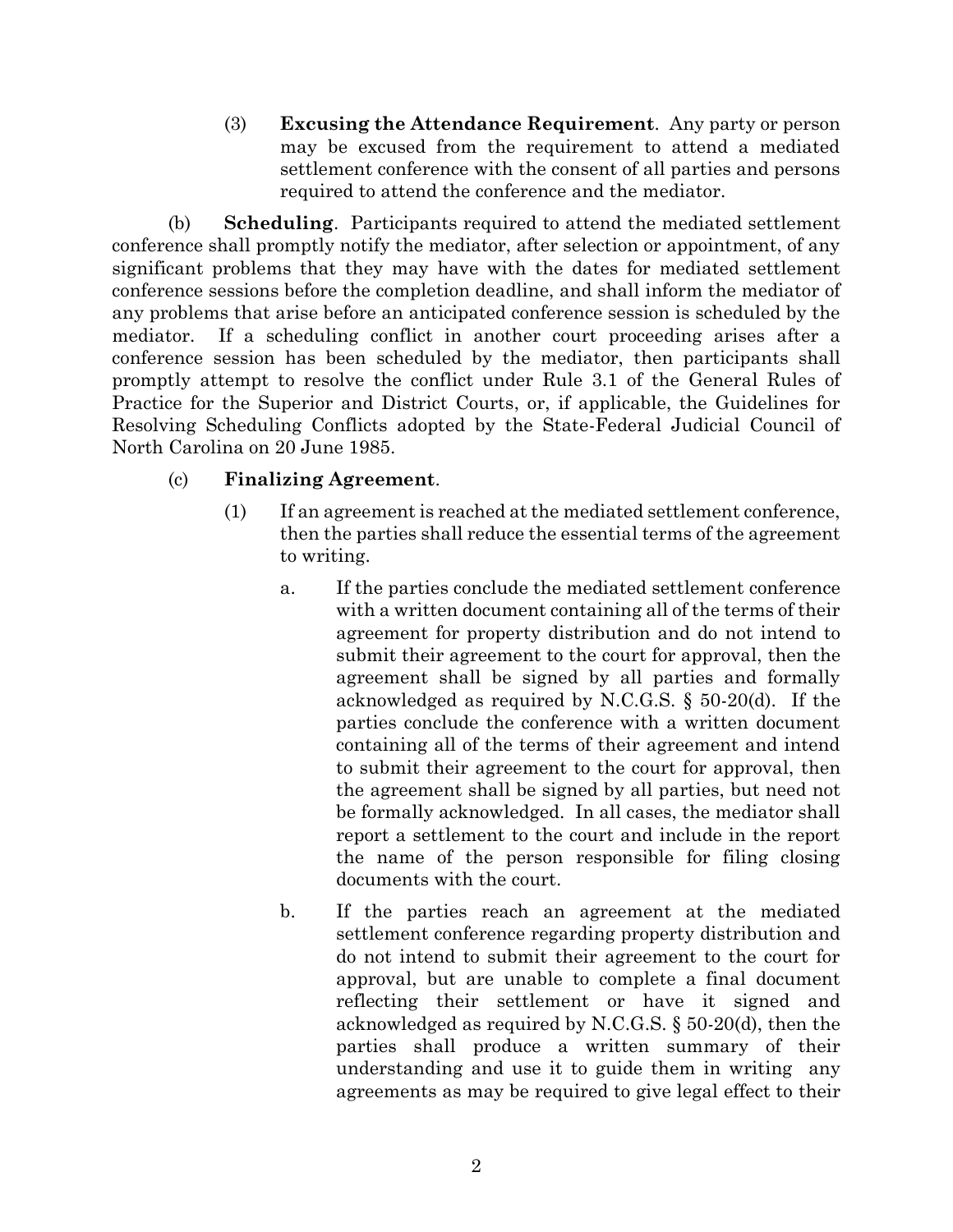(3) **Excusing the Attendance Requirement**. Any party or person may be excused from the requirement to attend a mediated settlement conference with the consent of all parties and persons required to attend the conference and the mediator.

(b) **Scheduling**. Participants required to attend the mediated settlement conference shall promptly notify the mediator, after selection or appointment, of any significant problems that they may have with the dates for mediated settlement conference sessions before the completion deadline, and shall inform the mediator of any problems that arise before an anticipated conference session is scheduled by the mediator. If a scheduling conflict in another court proceeding arises after a conference session has been scheduled by the mediator, then participants shall promptly attempt to resolve the conflict under Rule 3.1 of the General Rules of Practice for the Superior and District Courts, or, if applicable, the Guidelines for Resolving Scheduling Conflicts adopted by the State-Federal Judicial Council of North Carolina on 20 June 1985.

### (c) **Finalizing Agreement**.

- (1) If an agreement is reached at the mediated settlement conference, then the parties shall reduce the essential terms of the agreement to writing.
	- a. If the parties conclude the mediated settlement conference with a written document containing all of the terms of their agreement for property distribution and do not intend to submit their agreement to the court for approval, then the agreement shall be signed by all parties and formally acknowledged as required by N.C.G.S. § 50-20(d). If the parties conclude the conference with a written document containing all of the terms of their agreement and intend to submit their agreement to the court for approval, then the agreement shall be signed by all parties, but need not be formally acknowledged. In all cases, the mediator shall report a settlement to the court and include in the report the name of the person responsible for filing closing documents with the court.
	- b. If the parties reach an agreement at the mediated settlement conference regarding property distribution and do not intend to submit their agreement to the court for approval, but are unable to complete a final document reflecting their settlement or have it signed and acknowledged as required by N.C.G.S. § 50-20(d), then the parties shall produce a written summary of their understanding and use it to guide them in writing any agreements as may be required to give legal effect to their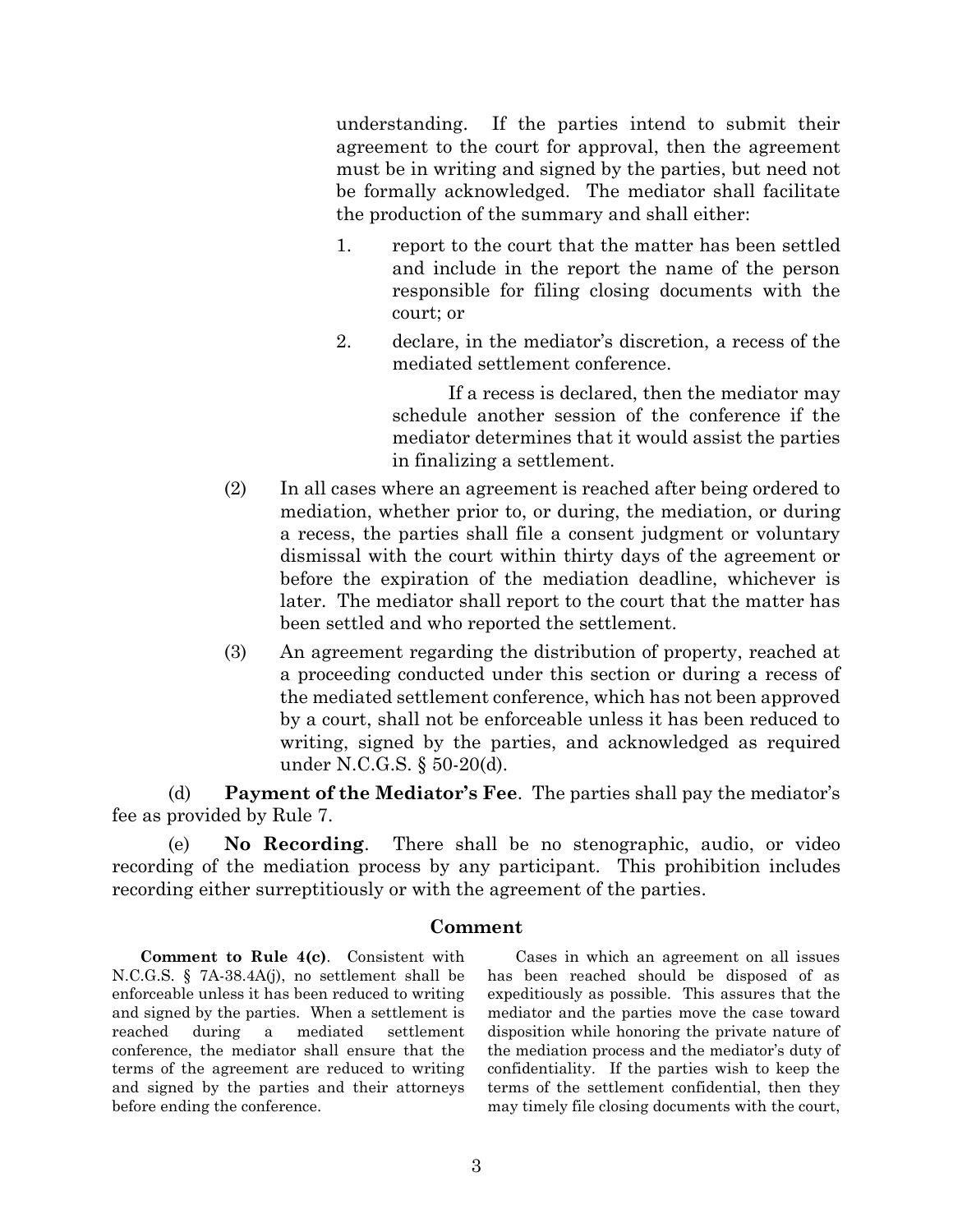understanding. If the parties intend to submit their agreement to the court for approval, then the agreement must be in writing and signed by the parties, but need not be formally acknowledged. The mediator shall facilitate the production of the summary and shall either:

- 1. report to the court that the matter has been settled and include in the report the name of the person responsible for filing closing documents with the court; or
- 2. declare, in the mediator's discretion, a recess of the mediated settlement conference.

If a recess is declared, then the mediator may schedule another session of the conference if the mediator determines that it would assist the parties in finalizing a settlement.

- (2) In all cases where an agreement is reached after being ordered to mediation, whether prior to, or during, the mediation, or during a recess, the parties shall file a consent judgment or voluntary dismissal with the court within thirty days of the agreement or before the expiration of the mediation deadline, whichever is later. The mediator shall report to the court that the matter has been settled and who reported the settlement.
- (3) An agreement regarding the distribution of property, reached at a proceeding conducted under this section or during a recess of the mediated settlement conference, which has not been approved by a court, shall not be enforceable unless it has been reduced to writing, signed by the parties, and acknowledged as required under N.C.G.S. § 50-20(d).

(d) **Payment of the Mediator's Fee**. The parties shall pay the mediator's fee as provided by Rule 7.

(e) **No Recording**. There shall be no stenographic, audio, or video recording of the mediation process by any participant. This prohibition includes recording either surreptitiously or with the agreement of the parties.

### **Comment**

**Comment to Rule 4(c)**. Consistent with N.C.G.S. § 7A-38.4A(j), no settlement shall be enforceable unless it has been reduced to writing and signed by the parties. When a settlement is reached during a mediated settlement conference, the mediator shall ensure that the terms of the agreement are reduced to writing and signed by the parties and their attorneys before ending the conference.

Cases in which an agreement on all issues has been reached should be disposed of as expeditiously as possible. This assures that the mediator and the parties move the case toward disposition while honoring the private nature of the mediation process and the mediator's duty of confidentiality. If the parties wish to keep the terms of the settlement confidential, then they may timely file closing documents with the court,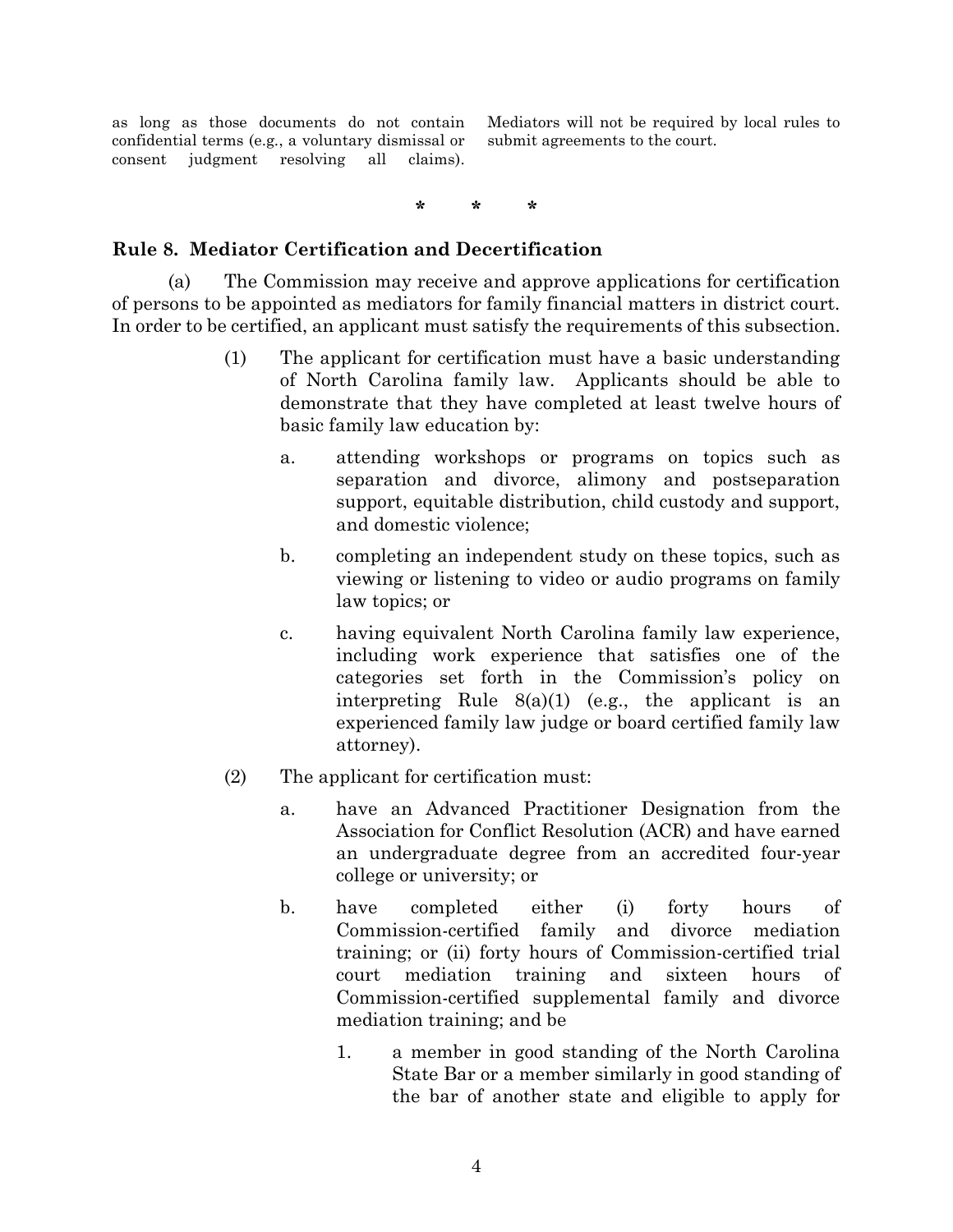as long as those documents do not contain confidential terms (e.g*.*, a voluntary dismissal or consent judgment resolving all claims). Mediators will not be required by local rules to submit agreements to the court.

**\* \* \***

### <span id="page-3-0"></span>**Rule 8. Mediator Certification and Decertification**

(a) The Commission may receive and approve applications for certification of persons to be appointed as mediators for family financial matters in district court. In order to be certified, an applicant must satisfy the requirements of this subsection.

- (1) The applicant for certification must have a basic understanding of North Carolina family law. Applicants should be able to demonstrate that they have completed at least twelve hours of basic family law education by:
	- a. attending workshops or programs on topics such as separation and divorce, alimony and postseparation support, equitable distribution, child custody and support, and domestic violence;
	- b. completing an independent study on these topics, such as viewing or listening to video or audio programs on family law topics; or
	- c. having equivalent North Carolina family law experience, including work experience that satisfies one of the categories set forth in the Commission's policy on interpreting Rule  $8(a)(1)$  (e.g., the applicant is an experienced family law judge or board certified family law attorney).
- (2) The applicant for certification must:
	- a. have an Advanced Practitioner Designation from the Association for Conflict Resolution (ACR) and have earned an undergraduate degree from an accredited four-year college or university; or
	- b. have completed either (i) forty hours of Commission-certified family and divorce mediation training; or (ii) forty hours of Commission-certified trial court mediation training and sixteen hours of Commission-certified supplemental family and divorce mediation training; and be
		- 1. a member in good standing of the North Carolina State Bar or a member similarly in good standing of the bar of another state and eligible to apply for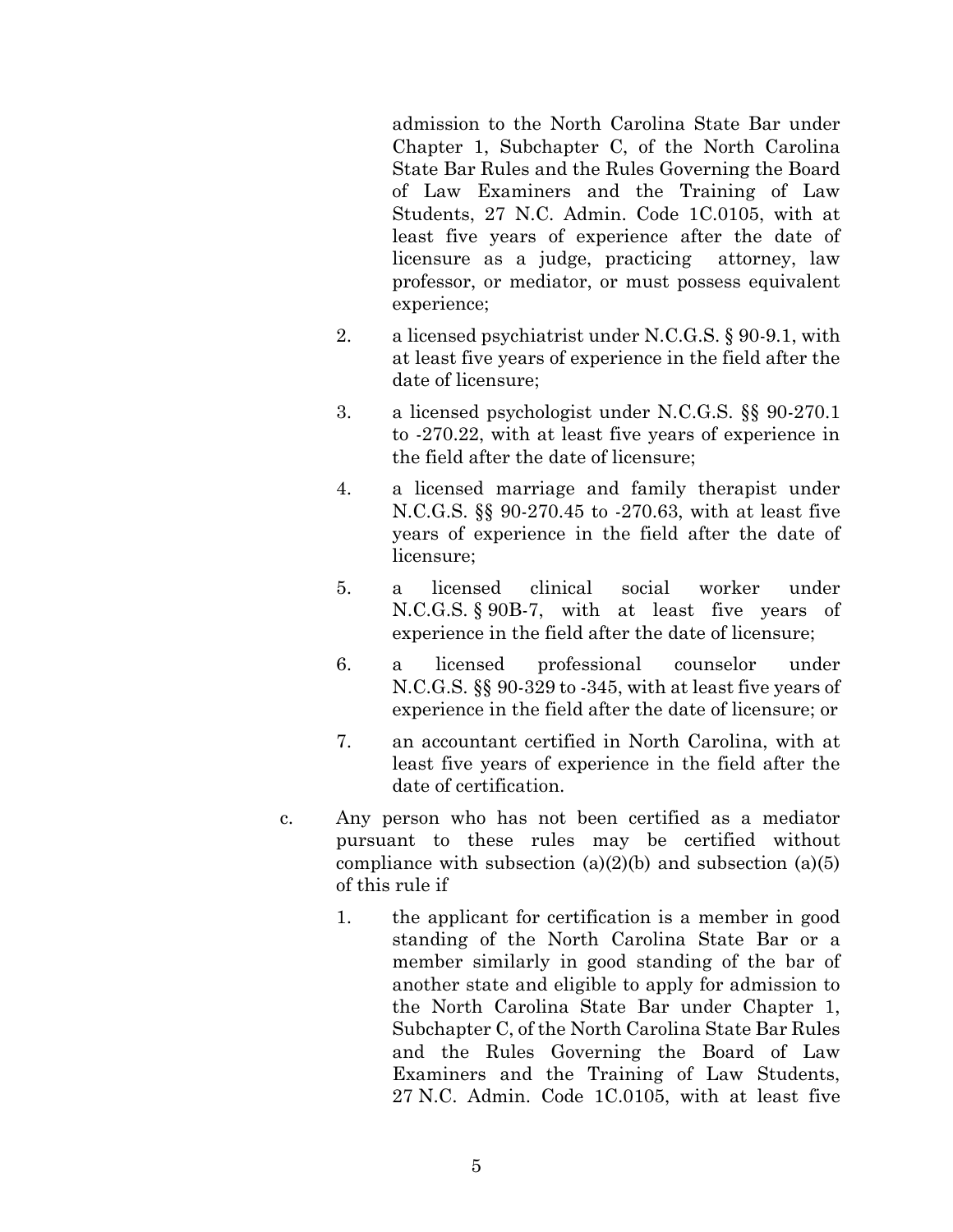admission to the North Carolina State Bar under Chapter 1, Subchapter C, of the North Carolina State Bar Rules and the Rules Governing the Board of Law Examiners and the Training of Law Students, 27 N.C. Admin. Code 1C.0105, with at least five years of experience after the date of licensure as a judge, practicing attorney, law professor, or mediator, or must possess equivalent experience;

- 2. a licensed psychiatrist under N.C.G.S. § 90-9.1, with at least five years of experience in the field after the date of licensure;
- 3. a licensed psychologist under N.C.G.S. §§ 90-270.1 to -270.22, with at least five years of experience in the field after the date of licensure;
- 4. a licensed marriage and family therapist under N.C.G.S. §§ 90-270.45 to -270.63, with at least five years of experience in the field after the date of licensure;
- 5. a licensed clinical social worker under N.C.G.S. § 90B-7, with at least five years of experience in the field after the date of licensure;
- 6. a licensed professional counselor under N.C.G.S. §§ 90-329 to -345, with at least five years of experience in the field after the date of licensure; or
- 7. an accountant certified in North Carolina, with at least five years of experience in the field after the date of certification.
- c. Any person who has not been certified as a mediator pursuant to these rules may be certified without compliance with subsection  $(a)(2)(b)$  and subsection  $(a)(5)$ of this rule if
	- 1. the applicant for certification is a member in good standing of the North Carolina State Bar or a member similarly in good standing of the bar of another state and eligible to apply for admission to the North Carolina State Bar under Chapter 1, Subchapter C, of the North Carolina State Bar Rules and the Rules Governing the Board of Law Examiners and the Training of Law Students, 27 N.C. Admin. Code 1C.0105, with at least five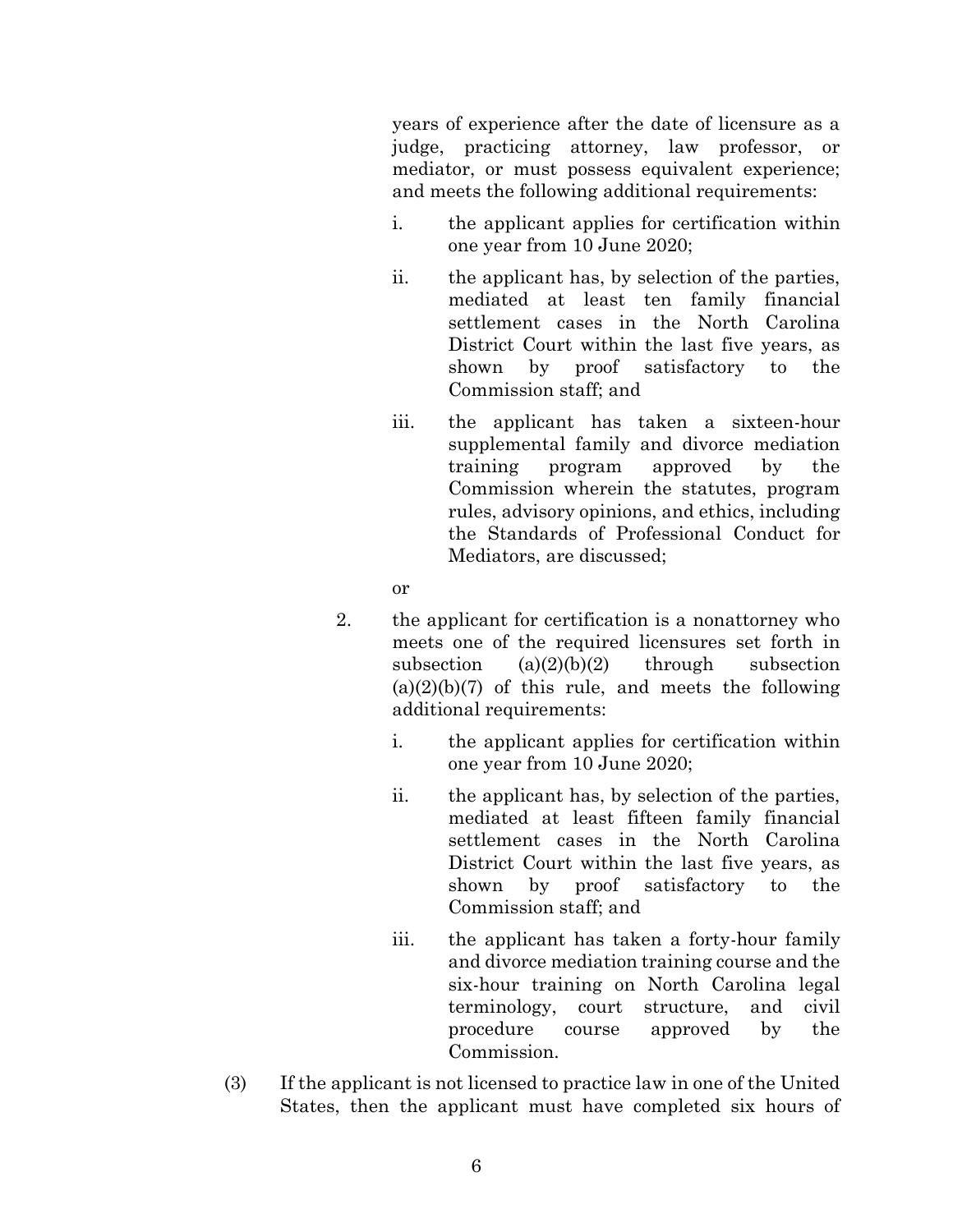years of experience after the date of licensure as a judge, practicing attorney, law professor, or mediator, or must possess equivalent experience; and meets the following additional requirements:

- i. the applicant applies for certification within one year from 10 June 2020;
- ii. the applicant has, by selection of the parties, mediated at least ten family financial settlement cases in the North Carolina District Court within the last five years, as shown by proof satisfactory to the Commission staff; and
- iii. the applicant has taken a sixteen-hour supplemental family and divorce mediation training program approved by the Commission wherein the statutes, program rules, advisory opinions, and ethics, including the Standards of Professional Conduct for Mediators, are discussed;
- or
- 2. the applicant for certification is a nonattorney who meets one of the required licensures set forth in subsection  $(a)(2)(b)(2)$  through subsection  $(a)(2)(b)(7)$  of this rule, and meets the following additional requirements:
	- i. the applicant applies for certification within one year from 10 June 2020;
	- ii. the applicant has, by selection of the parties, mediated at least fifteen family financial settlement cases in the North Carolina District Court within the last five years, as shown by proof satisfactory to the Commission staff; and
	- iii. the applicant has taken a forty-hour family and divorce mediation training course and the six-hour training on North Carolina legal terminology, court structure, and civil procedure course approved by the Commission.
- (3) If the applicant is not licensed to practice law in one of the United States, then the applicant must have completed six hours of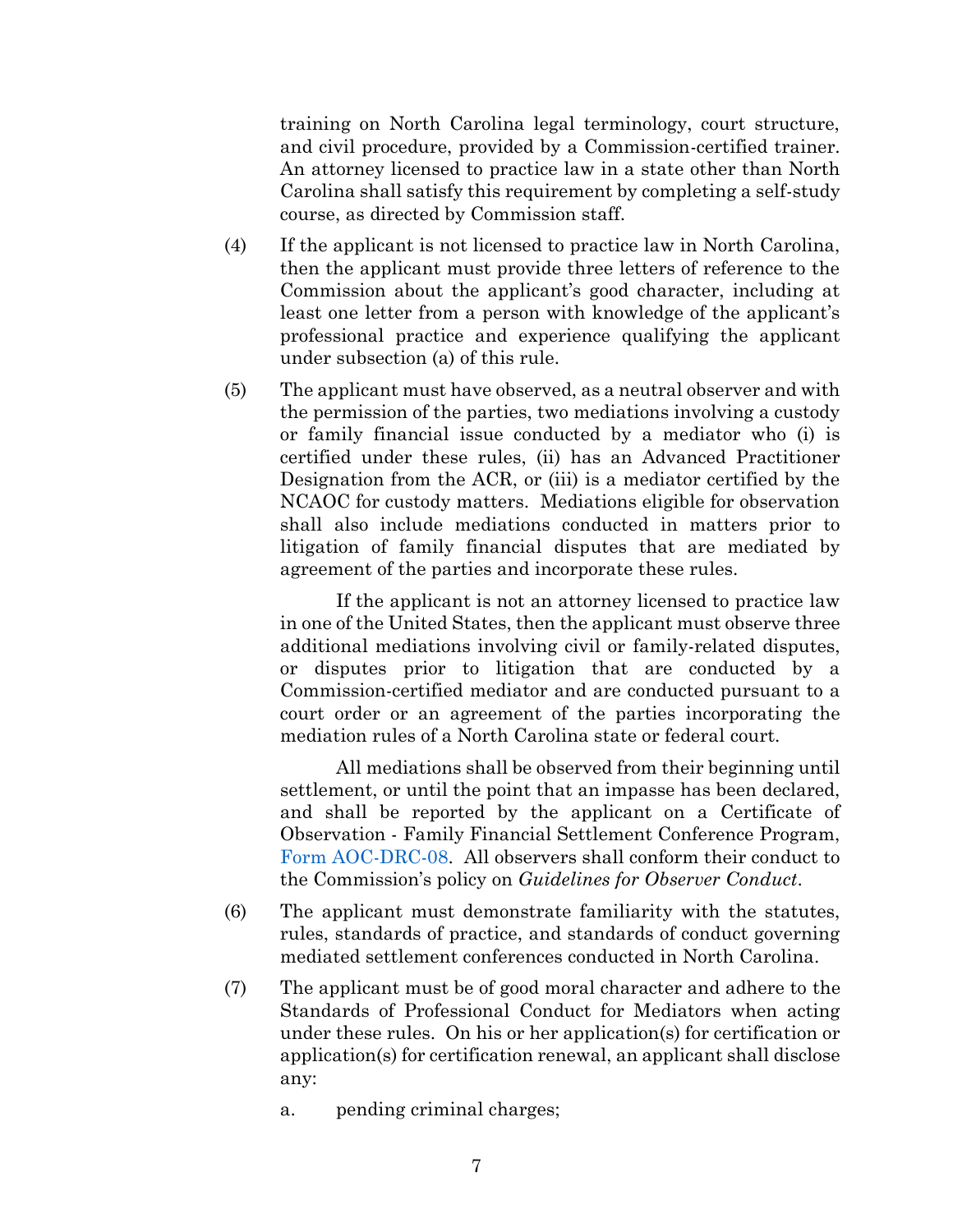training on North Carolina legal terminology, court structure, and civil procedure, provided by a Commission-certified trainer. An attorney licensed to practice law in a state other than North Carolina shall satisfy this requirement by completing a self-study course, as directed by Commission staff.

- (4) If the applicant is not licensed to practice law in North Carolina, then the applicant must provide three letters of reference to the Commission about the applicant's good character, including at least one letter from a person with knowledge of the applicant's professional practice and experience qualifying the applicant under subsection (a) of this rule.
- (5) The applicant must have observed, as a neutral observer and with the permission of the parties, two mediations involving a custody or family financial issue conducted by a mediator who (i) is certified under these rules, (ii) has an Advanced Practitioner Designation from the ACR, or (iii) is a mediator certified by the NCAOC for custody matters. Mediations eligible for observation shall also include mediations conducted in matters prior to litigation of family financial disputes that are mediated by agreement of the parties and incorporate these rules.

If the applicant is not an attorney licensed to practice law in one of the United States, then the applicant must observe three additional mediations involving civil or family-related disputes, or disputes prior to litigation that are conducted by a Commission-certified mediator and are conducted pursuant to a court order or an agreement of the parties incorporating the mediation rules of a North Carolina state or federal court.

All mediations shall be observed from their beginning until settlement, or until the point that an impasse has been declared, and shall be reported by the applicant on a Certificate of Observation - Family Financial Settlement Conference Program, [Form AOC-DRC-08.](https://www.nccourts.gov/documents/forms/certificate-of-observation-family-financial-settlement-conference-program) All observers shall conform their conduct to the Commission's policy on *Guidelines for Observer Conduct*.

- (6) The applicant must demonstrate familiarity with the statutes, rules, standards of practice, and standards of conduct governing mediated settlement conferences conducted in North Carolina.
- (7) The applicant must be of good moral character and adhere to the Standards of Professional Conduct for Mediators when acting under these rules. On his or her application(s) for certification or application(s) for certification renewal, an applicant shall disclose any:
	- a. pending criminal charges;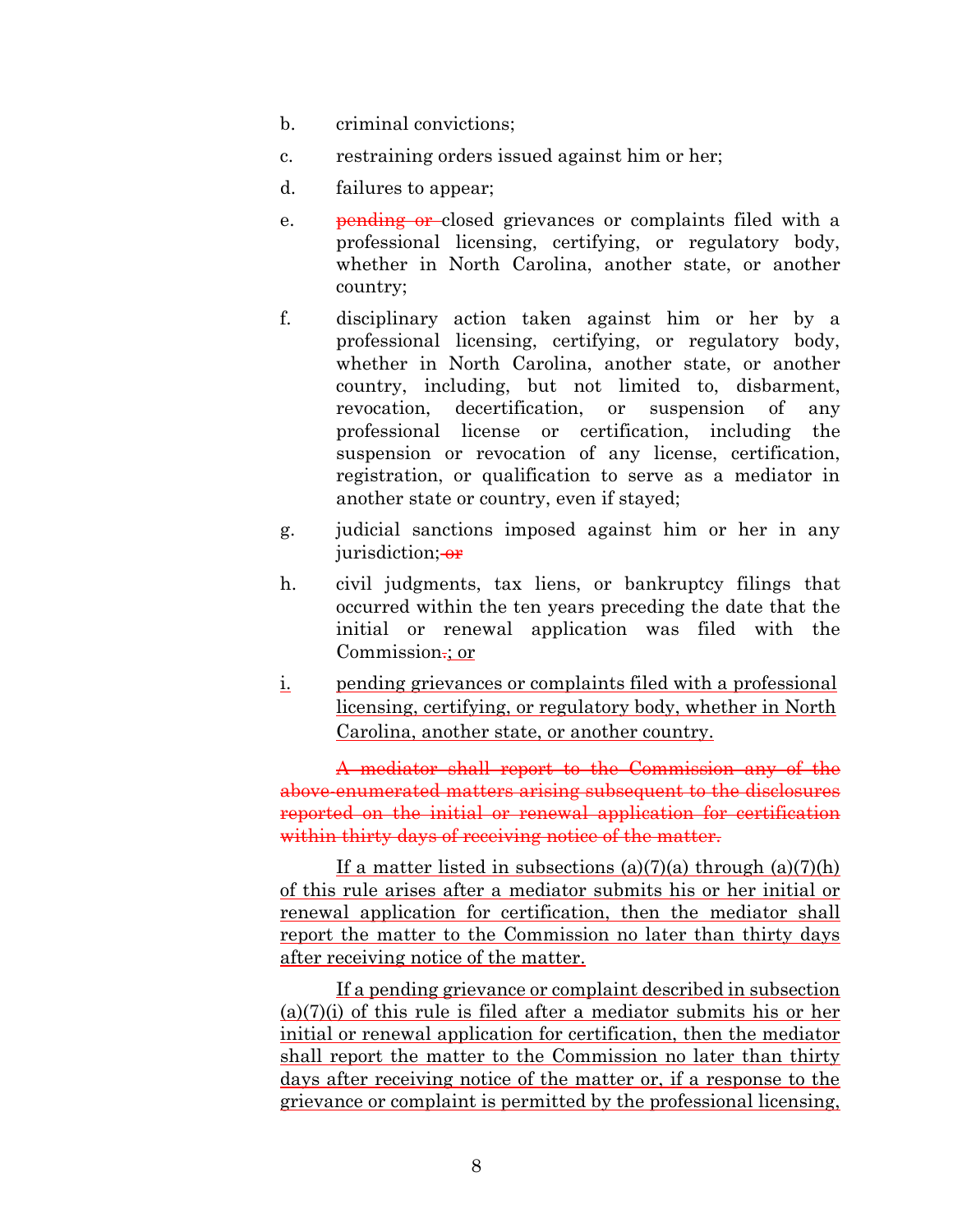- b. criminal convictions;
- c. restraining orders issued against him or her;
- d. failures to appear;
- e. pending or closed grievances or complaints filed with a professional licensing, certifying, or regulatory body, whether in North Carolina, another state, or another country;
- f. disciplinary action taken against him or her by a professional licensing, certifying, or regulatory body, whether in North Carolina, another state, or another country, including, but not limited to, disbarment, revocation, decertification, or suspension of any professional license or certification, including the suspension or revocation of any license, certification, registration, or qualification to serve as a mediator in another state or country, even if stayed;
- g. judicial sanctions imposed against him or her in any jurisdiction; or
- h. civil judgments, tax liens, or bankruptcy filings that occurred within the ten years preceding the date that the initial or renewal application was filed with the Commission.: or
- i. pending grievances or complaints filed with a professional licensing, certifying, or regulatory body, whether in North Carolina, another state, or another country.

A mediator shall report to the Commission any of the above-enumerated matters arising subsequent to the disclosures reported on the initial or renewal application for certification within thirty days of receiving notice of the matter.

If a matter listed in subsections  $(a)(7)(a)$  through  $(a)(7)(h)$ of this rule arises after a mediator submits his or her initial or renewal application for certification, then the mediator shall report the matter to the Commission no later than thirty days after receiving notice of the matter.

If a pending grievance or complaint described in subsection (a)(7)(i) of this rule is filed after a mediator submits his or her initial or renewal application for certification, then the mediator shall report the matter to the Commission no later than thirty days after receiving notice of the matter or, if a response to the grievance or complaint is permitted by the professional licensing,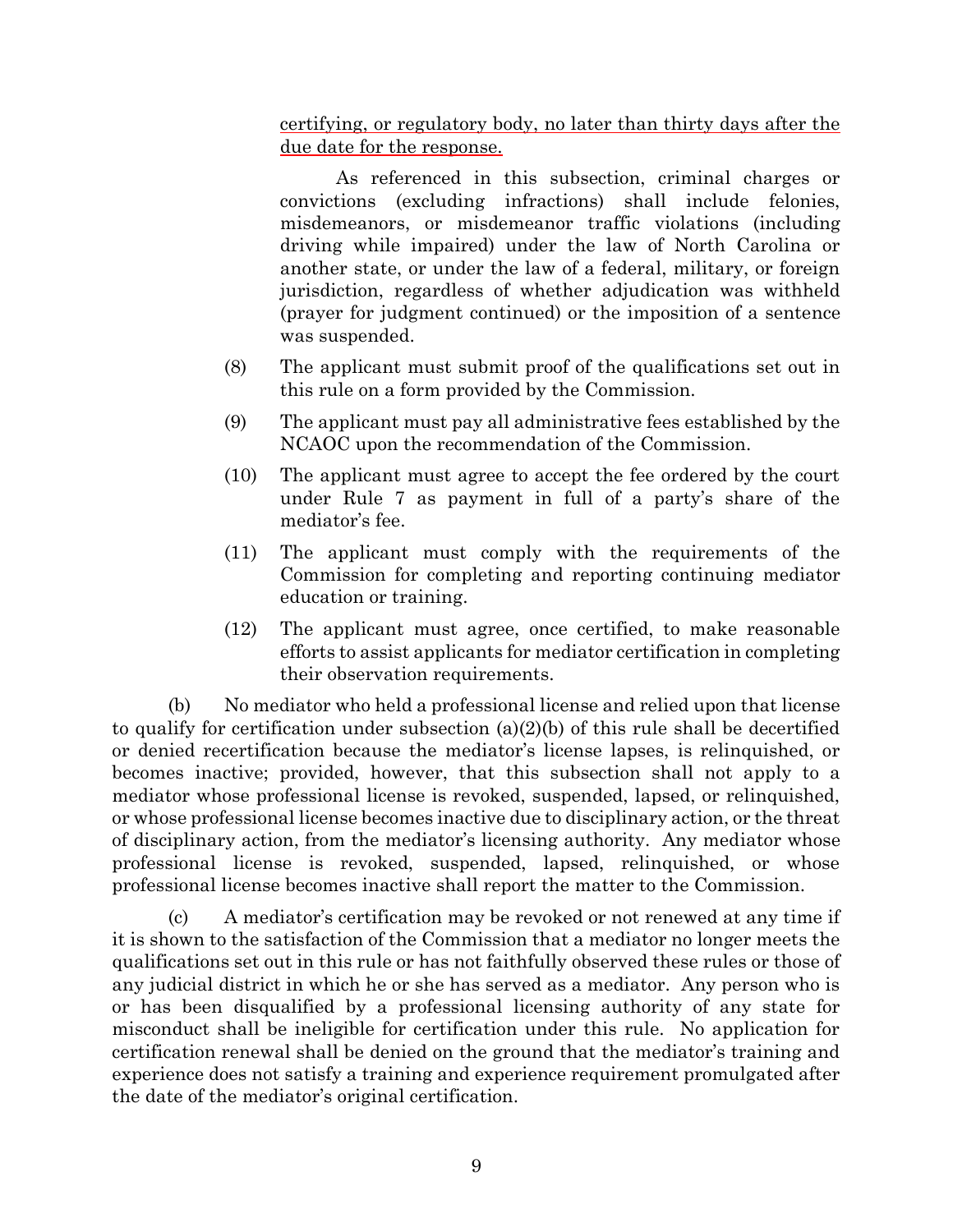certifying, or regulatory body, no later than thirty days after the due date for the response.

As referenced in this subsection, criminal charges or convictions (excluding infractions) shall include felonies, misdemeanors, or misdemeanor traffic violations (including driving while impaired) under the law of North Carolina or another state, or under the law of a federal, military, or foreign jurisdiction, regardless of whether adjudication was withheld (prayer for judgment continued) or the imposition of a sentence was suspended.

- (8) The applicant must submit proof of the qualifications set out in this rule on a form provided by the Commission.
- (9) The applicant must pay all administrative fees established by the NCAOC upon the recommendation of the Commission.
- (10) The applicant must agree to accept the fee ordered by the court under Rule 7 as payment in full of a party's share of the mediator's fee.
- (11) The applicant must comply with the requirements of the Commission for completing and reporting continuing mediator education or training.
- (12) The applicant must agree, once certified, to make reasonable efforts to assist applicants for mediator certification in completing their observation requirements.

(b) No mediator who held a professional license and relied upon that license to qualify for certification under subsection (a)(2)(b) of this rule shall be decertified or denied recertification because the mediator's license lapses, is relinquished, or becomes inactive; provided, however, that this subsection shall not apply to a mediator whose professional license is revoked, suspended, lapsed, or relinquished, or whose professional license becomes inactive due to disciplinary action, or the threat of disciplinary action, from the mediator's licensing authority. Any mediator whose professional license is revoked, suspended, lapsed, relinquished, or whose professional license becomes inactive shall report the matter to the Commission.

(c) A mediator's certification may be revoked or not renewed at any time if it is shown to the satisfaction of the Commission that a mediator no longer meets the qualifications set out in this rule or has not faithfully observed these rules or those of any judicial district in which he or she has served as a mediator. Any person who is or has been disqualified by a professional licensing authority of any state for misconduct shall be ineligible for certification under this rule. No application for certification renewal shall be denied on the ground that the mediator's training and experience does not satisfy a training and experience requirement promulgated after the date of the mediator's original certification.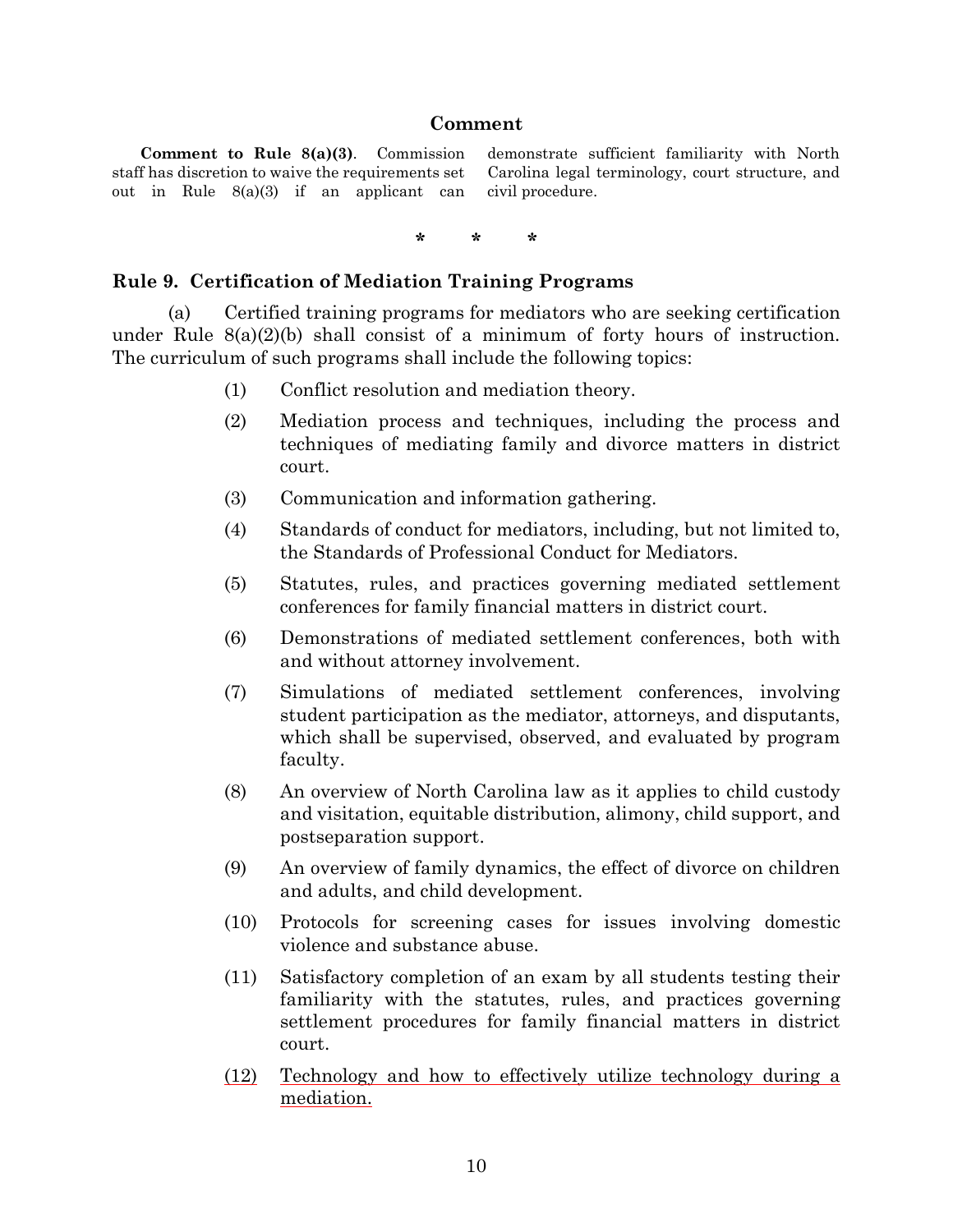#### **Comment**

**Comment to Rule 8(a)(3)**. Commission staff has discretion to waive the requirements set out in Rule 8(a)(3) if an applicant can demonstrate sufficient familiarity with North Carolina legal terminology, court structure, and civil procedure.

**\* \* \***

#### <span id="page-9-0"></span>**Rule 9. Certification of Mediation Training Programs**

(a) Certified training programs for mediators who are seeking certification under Rule  $8(a)(2)(b)$  shall consist of a minimum of forty hours of instruction. The curriculum of such programs shall include the following topics:

- (1) Conflict resolution and mediation theory.
- (2) Mediation process and techniques, including the process and techniques of mediating family and divorce matters in district court.
- (3) Communication and information gathering.
- (4) Standards of conduct for mediators, including, but not limited to, the Standards of Professional Conduct for Mediators.
- (5) Statutes, rules, and practices governing mediated settlement conferences for family financial matters in district court.
- (6) Demonstrations of mediated settlement conferences, both with and without attorney involvement.
- (7) Simulations of mediated settlement conferences, involving student participation as the mediator, attorneys, and disputants, which shall be supervised, observed, and evaluated by program faculty.
- (8) An overview of North Carolina law as it applies to child custody and visitation, equitable distribution, alimony, child support, and postseparation support.
- (9) An overview of family dynamics, the effect of divorce on children and adults, and child development.
- (10) Protocols for screening cases for issues involving domestic violence and substance abuse.
- (11) Satisfactory completion of an exam by all students testing their familiarity with the statutes, rules, and practices governing settlement procedures for family financial matters in district court.
- (12) Technology and how to effectively utilize technology during a mediation.